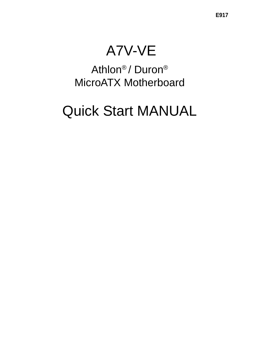# A7V-VE

Athlon® / Duron® MicroATX Motherboard

# Quick Start MANUAL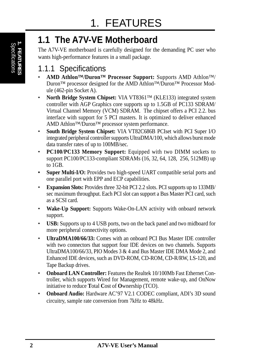## **1.1 The A7V-VE Motherboard**

The A7V-VE motherboard is carefully designed for the demanding PC user who wants high-performance features in a small package.

## 1.1.1 Specifications

- **AMD Athlon™/Duron™ Processor Support:** Supports AMD Athlon™/ Duron™ processor designed for the AMD Athlon™/Duron™ Processor Module (462-pin Socket A).
- **North Bridge System Chipset:** VIA VT8361<sup>TM</sup> (KLE133) integrated system controller with AGP Graphics core supports up to 1.5GB of PC133 SDRAM/ Virtual Channel Memory (VCM) SDRAM. The chipset offers a PCI 2.2. bus interface with support for 5 PCI masters. It is optimized to deliver enhanced AMD Athlon™/Duron™ processor system performance.
- **South Bridge System Chipset:** VIA VT82C686B PCIset with PCI Super I/O integrated peripheral controller supports UltraDMA/100, which allows burst mode data transfer rates of up to 100MB/sec.
- **PC100/PC133 Memory Support:** Equipped with two DIMM sockets to support PC100/PC133-compliant SDRAMs (16, 32, 64, 128, 256, 512MB) up to 1GB.
- **Super Multi-I/O:** Provides two high-speed UART compatible serial ports and one parallel port with EPP and ECP capabilities.
- **Expansion Slots:** Provides three 32-bit PCI 2.2 slots. PCI supports up to 133MB/ sec maximum throughput. Each PCI slot can support a Bus Master PCI card, such as a SCSI card.
- **Wake-Up Support:** Supports Wake-On-LAN activity with onboard network support.
- **USB:** Supports up to 4 USB ports, two on the back panel and two midboard for more peripheral connectivity options.
- **UltraDMA100/66/33:** Comes with an onboard PCI Bus Master IDE controller with two connectors that support four IDE devices on two channels. Supports UltraDMA100/66/33, PIO Modes 3 & 4 and Bus Master IDE DMA Mode 2, and Enhanced IDE devices, such as DVD-ROM, CD-ROM, CD-R/RW, LS-120, and Tape Backup drives.
- **Onboard LAN Controller:** Features the Realtek 10/100Mb Fast Ethernet Controller, which supports Wired for Management, remote wake-up, and OnNow initiative to reduce **T**otal **C**ost of **O**wnership (TCO).
- **Onboard Audio:** Hardware AC'97 V2.1 CODEC compliant, ADI's 3D sound circuitry, sample rate conversion from 7kHz to 48kHz.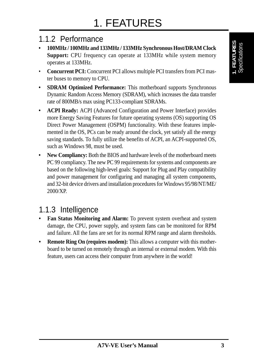### 1.1.2 Performance

- **100MHz / 100MHz and 133MHz / 133MHz Synchronous Host/DRAM Clock Support:** CPU frequency can operate at 133MHz while system memory operates at 133MHz.
- **Concurrent PCI:** Concurrent PCI allows multiple PCI transfers from PCI master buses to memory to CPU.
- **SDRAM Optimized Performance:** This motherboard supports Synchronous Dynamic Random Access Memory (SDRAM), which increases the data transfer rate of 800MB/s max using PC133-compliant SDRAMs.
- **ACPI Ready:** ACPI (Advanced Configuration and Power Interface) provides more Energy Saving Features for future operating systems (OS) supporting OS Direct Power Management (OSPM) functionality. With these features implemented in the OS, PCs can be ready around the clock, yet satisfy all the energy saving standards. To fully utilize the benefits of ACPI, an ACPI-supported OS, such as Windows 98, must be used.
- New Compliancy: Both the BIOS and hardware levels of the motherboard meets PC 99 compliancy. The new PC 99 requirements for systems and components are based on the following high-level goals: Support for Plug and Play compatibility and power management for configuring and managing all system components, and 32-bit device drivers and installation procedures for Windows 95/98/NT/ME/ 2000/XP.

### 1.1.3 Intelligence

- **Fan Status Monitoring and Alarm:** To prevent system overheat and system damage, the CPU, power supply, and system fans can be monitored for RPM and failure. All the fans are set for its normal RPM range and alarm thresholds.
- **Remote Ring On (requires modem):** This allows a computer with this motherboard to be turned on remotely through an internal or external modem. With this feature, users can access their computer from anywhere in the world!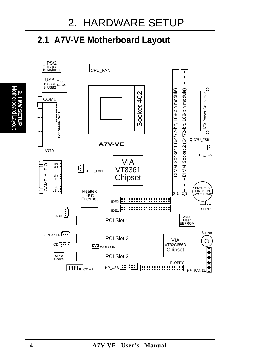## **2.1 A7V-VE Motherboard Layout**



Motherboard Layout **2. H/W SETUP**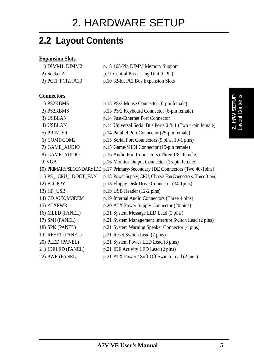## **2.2 Layout Contents**

#### **Expansion Slots**

| 1) DIMM1, DIMM2 | p. 8 168-Pin DIMM Memory Support |
|-----------------|----------------------------------|
|-----------------|----------------------------------|

- 2) Socket A p. 9 Central Processing Unit (CPU)
- 3) PCI1, PCI2, PCI3 p.10 32-bit PCI Bus Expansion Slots

#### **Connectors**

| 1) PS2KBMS              | p.13 PS/2 Mouse Connector (6-pin female)                                       |
|-------------------------|--------------------------------------------------------------------------------|
| 2) PS2KBMS              | p.13 PS/2 Keyboard Connector (6-pin female)                                    |
| 3) USBLAN               | p.14 Fast-Ethernet Port Connector                                              |
| 4) USBLAN               | p.14 Universal Serial Bus Ports 0 & 1 (Two 4-pin female)                       |
| 5) PRINTER              | p.14 Parallel Port Connector (25-pin female)                                   |
| 6) COM1/COM2            | p.15 Serial Port Connectors (9 pins, 10-1 pins)                                |
| 7) GAME_AUDIO           | p.15 Game/MIDI Connector (15-pin female)                                       |
| 8) GAME_AUDIO           | p.16 Audio Port Connectors (Three 1/8" female)                                 |
| 9) VGA                  | p.16 Monitor Output Connector (15-pin female)                                  |
|                         | 10) PRIMARY/SECONDARY IDE p.17 Primary/Secondary IDE Connectors (Two 40-1pins) |
| 11) PS_, CPU_, DOCT_FAN | p.18 Power Supply, CPU, Chassis Fan Connectors (Three 3-pin)                   |
| 12) FLOPPY              | p.18 Floppy Disk Drive Connector (34-1pins)                                    |
| 13) HP_USB              | p.19 USB Header (12-2 pins)                                                    |
| 14) CD, AUX, MODEM      | p.19 Internal Audio Connectors (Three 4 pins)                                  |
| 15) ATXPWR              | p.20 ATX Power Supply Connector (20 pins)                                      |
| 16) MLED (PANEL)        | p.21 System Message LED Lead (2 pins)                                          |
| 17) SMI (PANEL)         | p.21 System Management Interrupt Switch Lead (2 pins)                          |
| 18) SPK (PANEL)         | p.21 System Warning Speaker Connector (4 pins)                                 |
| 19) RESET (PANEL)       | p.21 Reset Switch Lead (2 pins)                                                |
| 20) PLED (PANEL)        | p.21 System Power LED Lead (3 pins)                                            |
| 21) IDELED (PANEL)      | p.21 IDE Activity LED Lead (2 pins)                                            |
| 22) PWR (PANEL)         | p.21 ATX Power / Soft-Off Switch Lead (2 pins)                                 |
|                         |                                                                                |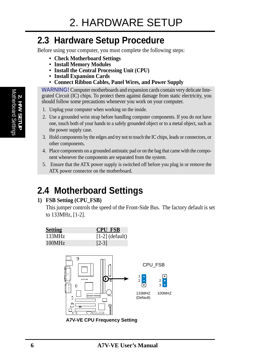## **2.3 Hardware Setup Procedure**

Before using your computer, you must complete the following steps:

- **• Check Motherboard Settings**
- **• Install Memory Modules**
- **• Install the Central Processing Unit (CPU)**
- **• Install Expansion Cards**
- **• Connect Ribbon Cables, Panel Wires, and Power Supply**

**WARNING!** Computer motherboards and expansion cards contain very delicate Integrated Circuit (IC) chips. To protect them against damage from static electricity, you should follow some precautions whenever you work on your computer.

- 1. Unplug your computer when working on the inside.
- 2. Use a grounded wrist strap before handling computer components. If you do not have one, touch both of your hands to a safely grounded object or to a metal object, such as the power supply case.
- 3. Hold components by the edges and try not to touch the IC chips, leads or connectors, or other components.
- 4. Place components on a grounded antistatic pad or on the bag that came with the component whenever the components are separated from the system.
- 5. Ensure that the ATX power supply is switched off before you plug in or remove the ATX power connector on the motherboard.

## **2.4 Motherboard Settings**

#### **1) FSB Setting (CPU\_FSB)**

This jumper controls the speed of the Front-Side Bus. The factory default is set to 133MHz, [1-2].



**A7V-VE CPU Frequency Setting**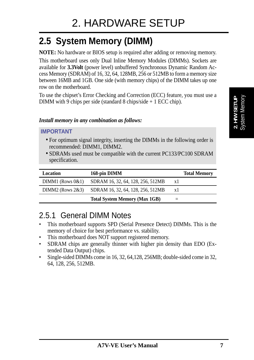## **2.5 System Memory (DIMM)**

**NOTE:** No hardware or BIOS setup is required after adding or removing memory.

This motherboard uses only Dual Inline Memory Modules (DIMMs). Sockets are available for **3.3Volt** (power level) unbuffered Synchronous Dynamic Random Access Memory (SDRAM) of 16, 32, 64, 128MB, 256 or 512MB to form a memory size between 16MB and 1GB. One side (with memory chips) of the DIMM takes up one row on the motherboard.

To use the chipset's Error Checking and Correction (ECC) feature, you must use a DIMM with 9 chips per side (standard 8 chips/side + 1 ECC chip).

#### *Install memory in any combination as follows:*

#### **IMPORTANT**

- For optimum signal integrity, inserting the DIMMs in the following order is recommended: DIMM1, DIMM2.
- SDRAMs used must be compatible with the current PC133/PC100 SDRAM specification.

| Location              | 168-pin DIMM                         |              | <b>Total Memory</b> |
|-----------------------|--------------------------------------|--------------|---------------------|
| $DIMM1$ (Rows $0&1$ ) | SDRAM 16, 32, 64, 128, 256, 512MB    | $\mathbf{X}$ |                     |
| $DIMM2$ (Rows $2&3$ ) | SDRAM 16, 32, 64, 128, 256, 512MB    | x1           |                     |
|                       | <b>Total System Memory (Max 1GB)</b> |              |                     |

### 2.5.1 General DIMM Notes

- This motherboard supports SPD (Serial Presence Detect) DIMMs. This is the memory of choice for best performance vs. stability.
- This motherboard does NOT support registered memory.
- SDRAM chips are generally thinner with higher pin density than EDO (Extended Data Output) chips.
- Single-sided DIMMs come in 16, 32, 64,128, 256MB; double-sided come in 32, 64, 128, 256, 512MB.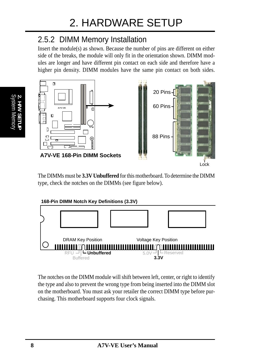## 2.5.2 DIMM Memory Installation

Insert the module(s) as shown. Because the number of pins are different on either side of the breaks, the module will only fit in the orientation shown. DIMM modules are longer and have different pin contact on each side and therefore have a higher pin density. DIMM modules have the same pin contact on both sides.



Lock

The DIMMs must be **3.3V Unbuffered** for this motherboard. To determine the DIMM type, check the notches on the DIMMs (see figure below).



The notches on the DIMM module will shift between left, center, or right to identify the type and also to prevent the wrong type from being inserted into the DIMM slot on the motherboard. You must ask your retailer the correct DIMM type before purchasing. This motherboard supports four clock signals.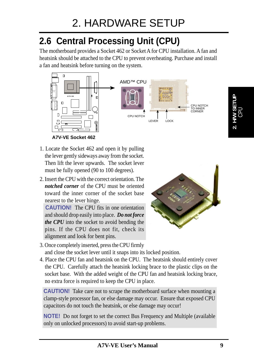## **2.6 Central Processing Unit (CPU)**

The motherboard provides a Socket 462 or Socket A for CPU installation. A fan and heatsink should be attached to the CPU to prevent overheating. Purchase and install a fan and heatsink before turning on the system.



- 1. Locate the Socket 462 and open it by pulling the lever gently sideways away from the socket. Then lift the lever upwards. The socket lever must be fully opened (90 to 100 degrees).
- 2. Insert the CPU with the correct orientation. The *notched corner* of the CPU must be oriented toward the inner corner of the socket base nearest to the lever hinge.

 **CAUTION!** The CPU fits in one orientation and should drop easily into place. *Do not force the CPU* into the socket to avoid bending the pins. If the CPU does not fit, check its alignment and look for bent pins.



- 3. Once completely inserted, press the CPU firmly and close the socket lever until it snaps into its locked position.
- 4. Place the CPU fan and heatsink on the CPU. The heatsink should entirely cover the CPU. Carefully attach the heatsink locking brace to the plastic clips on the socket base. With the added weight of the CPU fan and heatsink locking brace, no extra force is required to keep the CPU in place.

**CAUTION!** Take care not to scrape the motherboard surface when mounting a clamp-style processor fan, or else damage may occur. Ensure that exposed CPU capacitors do not touch the heatsink, or else damage may occur!

**NOTE!** Do not forget to set the correct Bus Frequency and Multiple (available only on unlocked processors) to avoid start-up problems.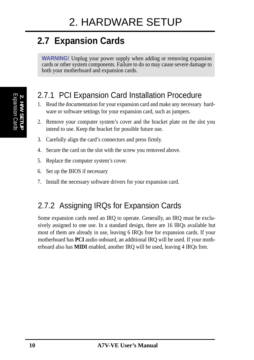## **2.7 Expansion Cards**

**WARNING!** Unplug your power supply when adding or removing expansion cards or other system components. Failure to do so may cause severe damage to both your motherboard and expansion cards.

### 2.7.1 PCI Expansion Card Installation Procedure

- 1. Read the documentation for your expansion card and make any necessary hardware or software settings for your expansion card, such as jumpers.
- 2. Remove your computer system's cover and the bracket plate on the slot you intend to use. Keep the bracket for possible future use.
- 3. Carefully align the card's connectors and press firmly.
- 4. Secure the card on the slot with the screw you removed above.
- 5. Replace the computer system's cover.
- 6. Set up the BIOS if necessary
- 7. Install the necessary software drivers for your expansion card.

## 2.7.2 Assigning IRQs for Expansion Cards

Some expansion cards need an IRQ to operate. Generally, an IRQ must be exclusively assigned to one use. In a standard design, there are 16 IRQs available but most of them are already in use, leaving 6 IRQs free for expansion cards. If your motherboard has **PCI** audio onboard, an additional IRQ will be used. If your motherboard also has **MIDI** enabled, another IRQ will be used, leaving 4 IRQs free.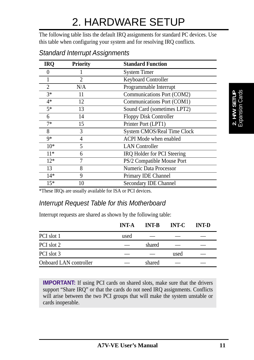The following table lists the default IRQ assignments for standard PC devices. Use this table when configuring your system and for resolving IRQ conflicts.

| <b>IRQ</b> | <b>Priority</b> | <b>Standard Function</b>           |  |  |
|------------|-----------------|------------------------------------|--|--|
|            |                 | <b>System Timer</b>                |  |  |
|            | 2               | <b>Keyboard Controller</b>         |  |  |
| 2          | N/A             | Programmable Interrupt             |  |  |
| $3*$       | 11              | Communications Port (COM2)         |  |  |
| $4*$       | 12              | Communications Port (COM1)         |  |  |
| $5*$       | 13              | Sound Card (sometimes LPT2)        |  |  |
| 6          | 14              | <b>Floppy Disk Controller</b>      |  |  |
| $7*$       | 15              | Printer Port (LPT1)                |  |  |
| 8          | 3               | <b>System CMOS/Real Time Clock</b> |  |  |
| $9*$       | 4               | <b>ACPI</b> Mode when enabled      |  |  |
| $10*$      | 5               | <b>LAN</b> Controller              |  |  |
| $11*$      | 6               | IRQ Holder for PCI Steering        |  |  |
| $12*$      |                 | PS/2 Compatible Mouse Port         |  |  |
| 13         | 8               | <b>Numeric Data Processor</b>      |  |  |
| $14*$      | 9               | Primary IDE Channel                |  |  |
| $15*$      | 10              | <b>Secondary IDE Channel</b>       |  |  |

Standard Interrupt Assignments

\*These IRQs are usually available for ISA or PCI devices.

#### Interrupt Request Table for this Motherboard

Interrupt requests are shared as shown by the following table:

|                        | <b>INT-A</b> | <b>INT-B</b> | <b>INT-C</b> | <b>INT-D</b> |
|------------------------|--------------|--------------|--------------|--------------|
| PCI slot 1             | used         |              |              |              |
| PCI slot 2             |              | shared       |              |              |
| PCI slot 3             |              |              | used         |              |
| Onboard LAN controller |              | shared       |              |              |

**IMPORTANT:** If using PCI cards on shared slots, make sure that the drivers support "Share IRQ" or that the cards do not need IRQ assignments. Conflicts will arise between the two PCI groups that will make the system unstable or cards inoperable.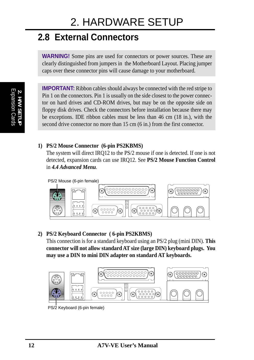## **2.8 External Connectors**

**WARNING!** Some pins are used for connectors or power sources. These are clearly distinguished from jumpers in the Motherboard Layout. Placing jumper caps over these connector pins will cause damage to your motherboard.

Expansion Cards **2. H/W SETUP**

**IMPORTANT:** Ribbon cables should always be connected with the red stripe to Pin 1 on the connectors. Pin 1 is usually on the side closest to the power connector on hard drives and CD-ROM drives, but may be on the opposite side on floppy disk drives. Check the connectors before installation because there may be exceptions. IDE ribbon cables must be less than 46 cm (18 in.), with the second drive connector no more than 15 cm (6 in.) from the first connector.

#### **1) PS/2 Mouse Connector (6-pin PS2KBMS)**

The system will direct IRQ12 to the PS/2 mouse if one is detected. If one is not detected, expansion cards can use IRQ12. See **PS/2 Mouse Function Control** in *4.4 Advanced Menu*.



#### **2) PS/2 Keyboard Connector ( 6-pin PS2KBMS)**

This connection is for a standard keyboard using an PS/2 plug (mini DIN). **This connector will not allow standard AT size (large DIN) keyboard plugs. You may use a DIN to mini DIN adapter on standard AT keyboards.**



PS/2 Keyboard (6-pin female)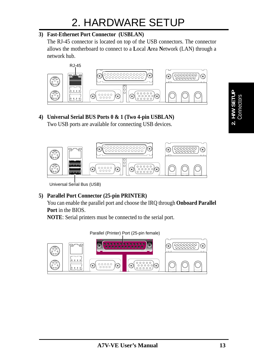#### **3) Fast-Ethernet Port Connector (USBLAN)**

The RJ-45 connector is located on top of the USB connectors. The connector allows the motherboard to connect to a **L**ocal **A**rea **N**etwork (LAN) through a network hub.



## **4) Universal Serial BUS Ports 0 & 1 (Two 4-pin USBLAN)**

Two USB ports are available for connecting USB devices.



Universal Serial Bus (USB)

#### **5) Parallel Port Connector (25-pin PRINTER)**

You can enable the parallel port and choose the IRQ through **Onboard Parallel Port** in the BIOS.

**NOTE**: Serial printers must be connected to the serial port.



**Connectors 2. H/W SETUP**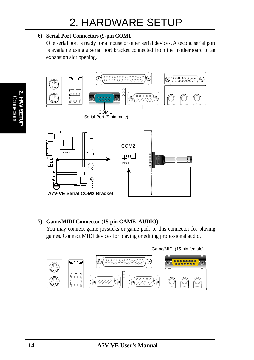#### **6) Serial Port Connectors (9-pin COM1**

One serial port is ready for a mouse or other serial devices. A second serial port is available using a serial port bracket connected from the motherboard to an expansion slot opening.



#### **7) Game/MIDI Connector (15-pin GAME\_AUDIO)**

You may connect game joysticks or game pads to this connector for playing games. Connect MIDI devices for playing or editing professional audio.



 Connectors **2. H/W SETUP**

**Connecto**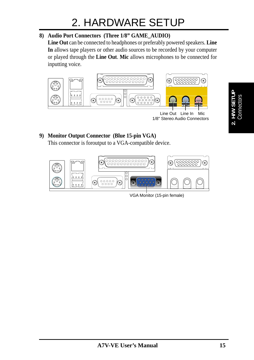#### **8) Audio Port Connectors (Three 1/8" GAME\_AUDIO)**

**Line Out** can be connected to headphones or preferably powered speakers. **Line In** allows tape players or other audio sources to be recorded by your computer or played through the **Line Out**. **Mic** allows microphones to be connected for inputting voice.



### **9) Monitor Output Connector (Blue 15-pin VGA)**

This connector is foroutput to a VGA-compatible device.



VGA Monitor (15-pin female)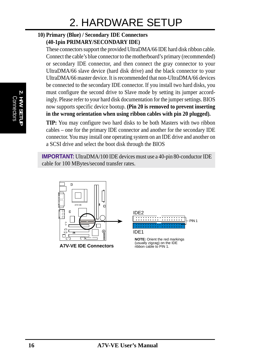#### **10) Primary (Blue) / Secondary IDE Connectors (40-1pin PRIMARY/SECONDARY IDE)**

These connectors support the provided UltraDMA/66 IDE hard disk ribbon cable. Connect the cable's blue connector to the motherboard's primary (recommended) or secondary IDE connector, and then connect the gray connector to your UltraDMA/66 slave device (hard disk drive) and the black connector to your UltraDMA/66 master device. It is recommended that non-UltraDMA/66 devices be connected to the secondary IDE connector. If you install two hard disks, you must configure the second drive to Slave mode by setting its jumper accordingly. Please refer to your hard disk documentation for the jumper settings. BIOS now supports specific device bootup. **(Pin 20 is removed to prevent inserting in the wrong orientation when using ribbon cables with pin 20 plugged).**

**TIP:** You may configure two hard disks to be both Masters with two ribbon cables – one for the primary IDE connector and another for the secondary IDE connector. You may install one operating system on an IDE drive and another on a SCSI drive and select the boot disk through the BIOS

**IMPORTANT:** UltraDMA/100 IDE devices must use a 40-pin 80-conductor IDE cable for 100 MBytes/second transfer rates.



**A7V-VE IDE Connectors**



**NOTE:** Orient the red markings (usually zigzag) on the IDE ribbon cable to PIN 1.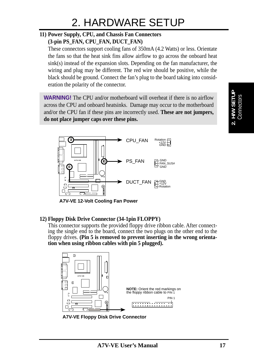### **11) Power Supply, CPU, and Chassis Fan Connectors**

**(3-pin PS\_FAN, CPU\_FAN, DUCT\_FAN)**

These connectors support cooling fans of 350mA (4.2 Watts) or less. Orientate the fans so that the heat sink fins allow airflow to go across the onboard heat sink(s) instead of the expansion slots. Depending on the fan manufacturer, the wiring and plug may be different. The red wire should be positive, while the black should be ground. Connect the fan's plug to the board taking into consideration the polarity of the connector.

**WARNING!** The CPU and/or motherboard will overheat if there is no airflow across the CPU and onboard heatsinks. Damage may occur to the motherboard and/or the CPU fan if these pins are incorrectly used. **These are not jumpers, do not place jumper caps over these pins.**



**A7V-VE 12-Volt Cooling Fan Power**

#### **12) Floppy Disk Drive Connector (34-1pin FLOPPY)**

This connector supports the provided floppy drive ribbon cable. After connecting the single end to the board, connect the two plugs on the other end to the floppy drives. **(Pin 5 is removed to prevent inserting in the wrong orientation when using ribbon cables with pin 5 plugged).**



**A7V-VE Floppy Disk Drive Connector**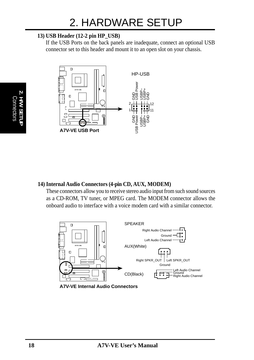#### **13) USB Header (12-2 pin HP\_USB)**

If the USB Ports on the back panels are inadequate, connect an optional USB connector set to this header and mount it to an open slot on your chassis.



#### **14) Internal Audio Connectors (4-pin CD, AUX, MODEM)**

These connectors allow you to receive stereo audio input from such sound sources as a CD-ROM, TV tuner, or MPEG card. The MODEM connector allows the onboard audio to interface with a voice modem card with a similar connector.



**A7V-VE Internal Audio Connectors**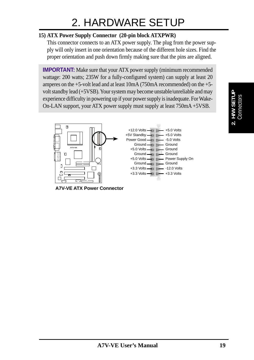#### **15) ATX Power Supply Connector (20-pin block ATXPWR)**

This connector connects to an ATX power supply. The plug from the power supply will only insert in one orientation because of the different hole sizes. Find the proper orientation and push down firmly making sure that the pins are aligned.

**IMPORTANT:** Make sure that your ATX power supply (minimum recommended) wattage: 200 watts; 235W for a fully-configured system) can supply at least 20 amperes on the +5-volt lead and at least 10mA (750mA recommended) on the +5 volt standby lead (+5VSB). Your system may become unstable/unreliable and may experience difficulty in powering up if your power supply is inadequate. For Wake-On-LAN support, your ATX power supply must supply at least 750mA +5VSB.



**A7V-VE ATX Power Connector**